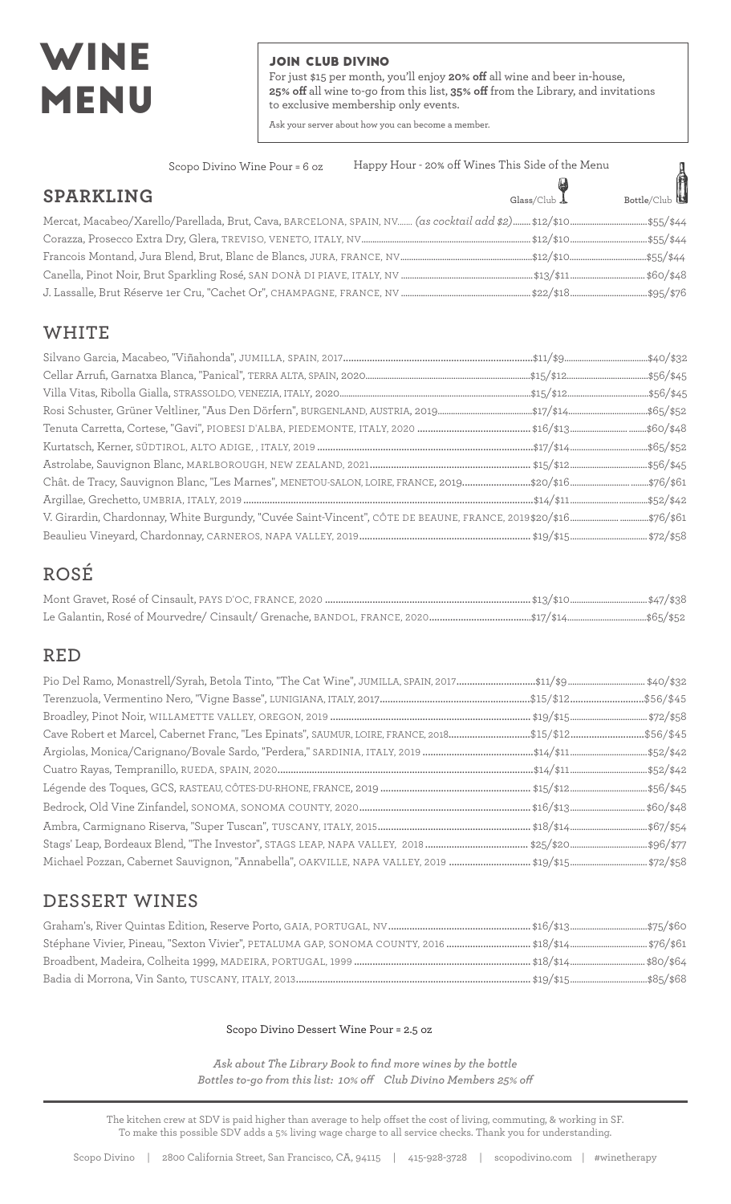# WINE MENU

#### JOIN CLUB DIVINO

For just \$15 per month, you'll enjoy **20% off** all wine and beer in-house, **25% off** all wine to-go from this list, **35% off** from the Library, and invitations to exclusive membership only events.

Ask your server about how you can become a member.

| Scopo Divino Wine Pour = 6 oz                                                                                                           | Happy Hour - 20% off Wines This Side of the Menu |             |
|-----------------------------------------------------------------------------------------------------------------------------------------|--------------------------------------------------|-------------|
| SPARKLING                                                                                                                               | $\frac{1}{\text{Glass}}$                         | Bottle/Club |
| Mercat, Macabeo/Xarello/Parellada, Brut, Cava, BARCELONA, SPAIN, NV……. <i>(as cocktail add \$2)…….</i> .\$12/\$10…………………………………\$55/\$44 |                                                  |             |
|                                                                                                                                         |                                                  |             |
|                                                                                                                                         |                                                  |             |
|                                                                                                                                         |                                                  |             |
|                                                                                                                                         |                                                  |             |

### **WHITE**

## **ROSÉ**

### **RED**

| Cave Robert et Marcel, Cabernet Franc, "Les Epinats", SAUMUR, LOIRE, FRANCE, 2018\$15/\$12\$56/\$45 |  |
|-----------------------------------------------------------------------------------------------------|--|
|                                                                                                     |  |
|                                                                                                     |  |
|                                                                                                     |  |
|                                                                                                     |  |
|                                                                                                     |  |
|                                                                                                     |  |
|                                                                                                     |  |

### **DESSERT WINES**

#### Scopo Divino Dessert Wine Pour = 2.5 oz

*Ask about The Library Book to find more wines by the bottle Bottles to-go from this list: 10% off Club Divino Members 25% off*

The kitchen crew at SDV is paid higher than average to help offset the cost of living, commuting, & working in SF. To make this possible SDV adds a 5% living wage charge to all service checks. Thank you for understanding.